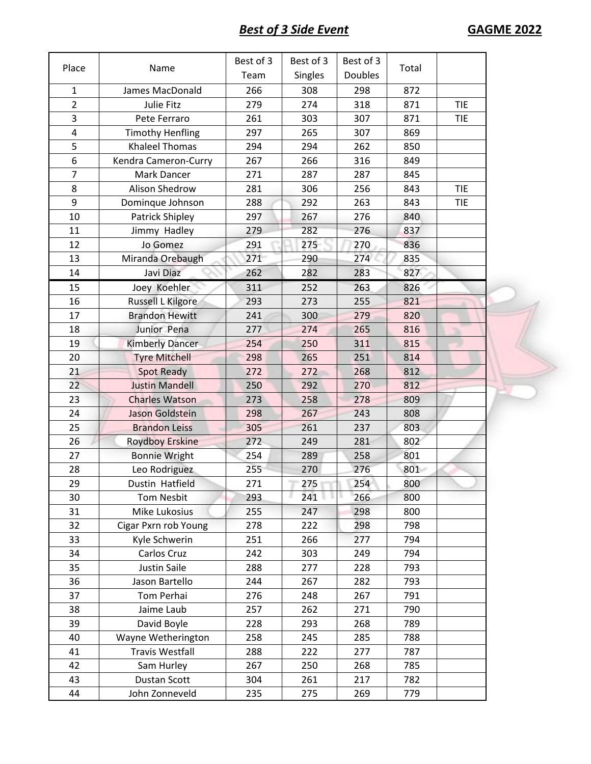| Place                   | Name                    | Best of 3 | Best of 3 | Best of 3      | Total |            |
|-------------------------|-------------------------|-----------|-----------|----------------|-------|------------|
|                         |                         | Team      | Singles   | <b>Doubles</b> |       |            |
| $\mathbf{1}$            | James MacDonald         | 266       | 308       | 298            | 872   |            |
| $\overline{2}$          | Julie Fitz              | 279       | 274       | 318            | 871   | <b>TIE</b> |
| $\overline{\mathbf{3}}$ | Pete Ferraro            | 261       | 303       | 307            | 871   | <b>TIE</b> |
| $\overline{4}$          | <b>Timothy Henfling</b> | 297       | 265       | 307            | 869   |            |
| 5                       | <b>Khaleel Thomas</b>   | 294       | 294       | 262            | 850   |            |
| 6                       | Kendra Cameron-Curry    | 267       | 266       | 316            | 849   |            |
| $\overline{7}$          | Mark Dancer             | 271       | 287       | 287            | 845   |            |
| 8                       | Alison Shedrow          | 281       | 306       | 256            | 843   | <b>TIE</b> |
| 9                       | Dominque Johnson        | 288       | 292       | 263            | 843   | <b>TIE</b> |
| 10                      | Patrick Shipley         | 297       | 267       | 276            | 840   |            |
| 11                      | Jimmy Hadley            | 279       | 282       | 276            | 837   |            |
| 12                      | Jo Gomez                | 291       | 275       | 270            | 836   |            |
| 13                      | Miranda Orebaugh        | 271       | 290       | 274            | 835   |            |
| 14                      | Javi Diaz               | 262       | 282       | 283            | 827   |            |
| 15                      | Joey Koehler            | 311       | 252       | 263            | 826   |            |
| 16                      | Russell L Kilgore       | 293       | 273       | 255            | 821   |            |
| 17                      | <b>Brandon Hewitt</b>   | 241       | 300       | 279            | 820   |            |
| 18                      | Junior Pena             | 277       | 274       | 265            | 816   |            |
| 19                      | Kimberly Dancer         | 254       | 250       | 311            | 815   |            |
| 20                      | <b>Tyre Mitchell</b>    | 298       | 265       | 251            | 814   |            |
| 21                      | <b>Spot Ready</b>       | 272       | 272       | 268            | 812   |            |
| 22                      | <b>Justin Mandell</b>   | 250       | 292       | 270            | 812   |            |
| 23                      | <b>Charles Watson</b>   | 273       | 258       | 278            | 809   |            |
| 24                      | Jason Goldstein         | 298       | 267       | 243            | 808   |            |
| 25                      | <b>Brandon Leiss</b>    | 305       | 261       | 237            | 803   |            |
| 26                      | <b>Roydboy Erskine</b>  | 272       | 249       | 281            | 802   |            |
| 27                      | <b>Bonnie Wright</b>    | 254       | 289       | 258            | 801   |            |
| 28                      | Leo Rodriguez           | 255       | 270       | 276            | 801   |            |
| 29                      | Dustin Hatfield         | 271       | 275       | 254            | 800   |            |
| 30                      | <b>Tom Nesbit</b>       | 293       | 241       | 266            | 800   |            |
| 31                      | Mike Lukosius           | 255       | 247       | 298            | 800   |            |
| 32                      | Cigar Pxrn rob Young    | 278       | 222       | 298            | 798   |            |
| 33                      | Kyle Schwerin           | 251       | 266       | 277            | 794   |            |
| 34                      | Carlos Cruz             | 242       | 303       | 249            | 794   |            |
| 35                      | <b>Justin Saile</b>     | 288       | 277       | 228            | 793   |            |
| 36                      | Jason Bartello          | 244       | 267       | 282            | 793   |            |
| 37                      | Tom Perhai              | 276       | 248       | 267            | 791   |            |
| 38                      | Jaime Laub              | 257       | 262       | 271            | 790   |            |
| 39                      | David Boyle             | 228       | 293       | 268            | 789   |            |
| 40                      | Wayne Wetherington      | 258       | 245       | 285            | 788   |            |
| 41                      | <b>Travis Westfall</b>  | 288       | 222       | 277            | 787   |            |
| 42                      | Sam Hurley              | 267       | 250       | 268            | 785   |            |
| 43                      | Dustan Scott            | 304       | 261       | 217            | 782   |            |
| 44                      | John Zonneveld          | 235       | 275       | 269            | 779   |            |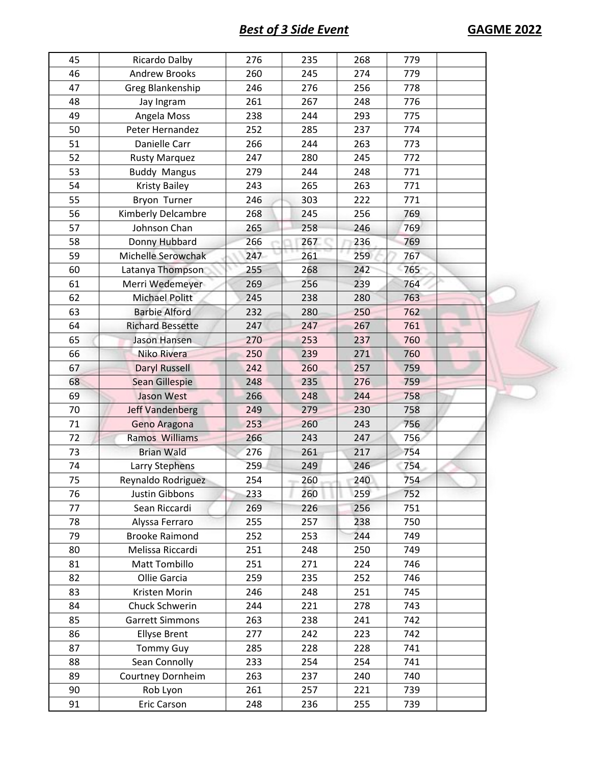**Best of 3 Side Event GAGME 2022** 

| 45 | Ricardo Dalby           | 276 | 235 | 268 | 779 |  |
|----|-------------------------|-----|-----|-----|-----|--|
| 46 | <b>Andrew Brooks</b>    | 260 | 245 | 274 | 779 |  |
| 47 | Greg Blankenship        | 246 | 276 | 256 | 778 |  |
| 48 | Jay Ingram              | 261 | 267 | 248 | 776 |  |
| 49 | Angela Moss             | 238 | 244 | 293 | 775 |  |
| 50 | Peter Hernandez         | 252 | 285 | 237 | 774 |  |
| 51 | Danielle Carr           | 266 | 244 | 263 | 773 |  |
| 52 | <b>Rusty Marquez</b>    | 247 | 280 | 245 | 772 |  |
| 53 | <b>Buddy Mangus</b>     | 279 | 244 | 248 | 771 |  |
| 54 | <b>Kristy Bailey</b>    | 243 | 265 | 263 | 771 |  |
| 55 | Bryon Turner            | 246 | 303 | 222 | 771 |  |
| 56 | Kimberly Delcambre      | 268 | 245 | 256 | 769 |  |
| 57 | Johnson Chan            | 265 | 258 | 246 | 769 |  |
| 58 | Donny Hubbard           | 266 | 267 | 236 | 769 |  |
| 59 | Michelle Serowchak      | 247 | 261 | 259 | 767 |  |
| 60 | Latanya Thompson        | 255 | 268 | 242 | 765 |  |
| 61 | Merri Wedemeyer         | 269 | 256 | 239 | 764 |  |
| 62 | <b>Michael Politt</b>   | 245 | 238 | 280 | 763 |  |
| 63 | <b>Barbie Alford</b>    | 232 | 280 | 250 | 762 |  |
| 64 | <b>Richard Bessette</b> | 247 | 247 | 267 | 761 |  |
| 65 | Jason Hansen            | 270 | 253 | 237 | 760 |  |
| 66 | Niko Rivera             | 250 | 239 | 271 | 760 |  |
| 67 | <b>Daryl Russell</b>    | 242 | 260 | 257 | 759 |  |
| 68 | Sean Gillespie          | 248 | 235 | 276 | 759 |  |
| 69 | Jason West              | 266 | 248 | 244 | 758 |  |
| 70 | Jeff Vandenberg         | 249 | 279 | 230 | 758 |  |
| 71 | Geno Aragona            | 253 | 260 | 243 | 756 |  |
| 72 | Ramos Williams          | 266 | 243 | 247 | 756 |  |
| 73 | <b>Brian Wald</b>       | 276 | 261 | 217 | 754 |  |
| 74 | Larry Stephens          | 259 | 249 | 246 | 754 |  |
| 75 | Reynaldo Rodriguez      | 254 | 260 | 240 | 754 |  |
| 76 | Justin Gibbons          | 233 | 260 | 259 | 752 |  |
| 77 | Sean Riccardi           | 269 | 226 | 256 | 751 |  |
| 78 | Alyssa Ferraro          | 255 | 257 | 238 | 750 |  |
| 79 | <b>Brooke Raimond</b>   | 252 | 253 | 244 | 749 |  |
| 80 | Melissa Riccardi        | 251 | 248 | 250 | 749 |  |
| 81 | Matt Tombillo           | 251 | 271 | 224 | 746 |  |
| 82 | Ollie Garcia            | 259 | 235 | 252 | 746 |  |
| 83 | Kristen Morin           | 246 | 248 | 251 | 745 |  |
| 84 | Chuck Schwerin          | 244 | 221 | 278 | 743 |  |
| 85 | <b>Garrett Simmons</b>  | 263 | 238 | 241 | 742 |  |
| 86 | <b>Ellyse Brent</b>     | 277 | 242 | 223 | 742 |  |
| 87 | <b>Tommy Guy</b>        | 285 | 228 | 228 | 741 |  |
| 88 | Sean Connolly           | 233 | 254 | 254 | 741 |  |
| 89 | Courtney Dornheim       | 263 | 237 | 240 | 740 |  |
| 90 | Rob Lyon                | 261 | 257 | 221 | 739 |  |
| 91 | Eric Carson             | 248 | 236 | 255 | 739 |  |
|    |                         |     |     |     |     |  |